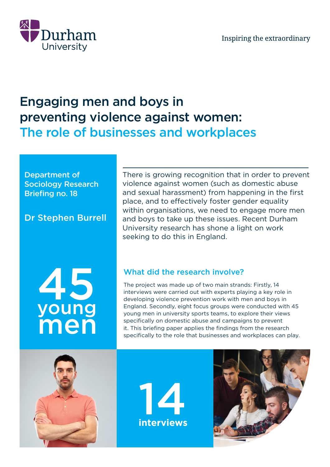

# Engaging men and boys in preventing violence against women: The role of businesses and workplaces

#### Department of Sociology Research Briefing no. 18

# Dr Stephen Burrell

There is growing recognition that in order to prevent violence against women (such as domestic abuse and sexual harassment) from happening in the first place, and to effectively foster gender equality within organisations, we need to engage more men and boys to take up these issues. Recent Durham University research has shone a light on work seeking to do this in England.

# 45 young men

# What did the research involve?

The project was made up of two main strands: Firstly, 14 interviews were carried out with experts playing a key role in developing violence prevention work with men and boys in England. Secondly, eight focus groups were conducted with 45 young men in university sports teams, to explore their views specifically on domestic abuse and campaigns to prevent it. This briefing paper applies the findings from the research specifically to the role that businesses and workplaces can play.





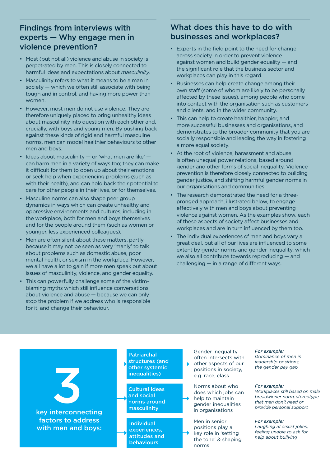#### Findings from interviews with experts — Why engage men in violence prevention?

- Most (but not all) violence and abuse in society is perpetrated by men. This is closely connected to harmful ideas and expectations about *masculinity.*
- Masculinity refers to what it means to be a man in society — which we often still associate with being tough and in control, and having more power than women.
- However, most men do not use violence. They are therefore uniquely placed to bring unhealthy ideas about masculinity into question with each other and, crucially, with boys and young men. By pushing back against these kinds of rigid and harmful masculine norms, men can model healthier behaviours to other men and boys.
- Ideas about masculinity  $-$  or 'what men are like'  $$ can harm men in a variety of ways too; they can make it difficult for them to open up about their emotions or seek help when experiencing problems (such as with their health), and can hold back their potential to care for other people in their lives, or for themselves.
- Masculine norms can also shape peer group dynamics in ways which can create unhealthy and oppressive environments and cultures, including in the workplace, both for men and boys themselves and for the people around them (such as women or younger, less experienced colleagues).
- Men are often silent about these matters, partly because it may not be seen as very 'manly' to talk about problems such as domestic abuse, poor mental health, or sexism in the workplace. However, we all have a lot to gain if more men speak out about issues of masculinity, violence, and gender equality.
- This can powerfully challenge some of the victimblaming myths which still influence conversations about violence and abuse — because we can only stop the problem if we address who is responsible for it, and change their behaviour.

#### What does this have to do with businesses and workplaces?

- Experts in the field point to the need for change across society in order to prevent violence against women and build gender equality — and the significant role that the business sector and workplaces can play in this regard.
- Businesses can help create change among their own staff (some of whom are likely to be personally affected by these issues), among people who come into contact with the organisation such as customers and clients, and in the wider community.
- This can help to create healthier, happier, and more successful businesses and organisations, and demonstrates to the broader community that you are socially responsible and leading the way in fostering a more equal society.
- At the root of violence, harassment and abuse is often unequal power relations, based around gender and other forms of social inequality. Violence prevention is therefore closely connected to building gender justice, and shifting harmful gender norms in our organisations and communities.
- The research demonstrated the need for a threepronged approach, illustrated below, to engage effectively with men and boys about preventing violence against women. As the examples show, each of these aspects of society affect businesses and workplaces and are in turn influenced by them too.
- The individual experiences of men and boys vary a great deal, but all of our lives are influenced to some extent by gender norms and gender inequality, which we also all contribute towards reproducing — and challenging — in a range of different ways.

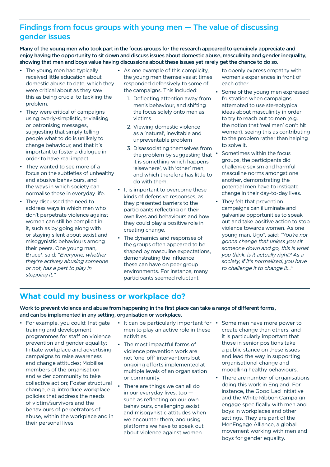#### Findings from focus groups with young men — The value of discussing gender issues

Many of the young men who took part in the focus groups for the research appeared to genuinely appreciate and enjoy having the opportunity to sit down and discuss issues about domestic abuse, masculinity and gender inequality, showing that men and boys value having discussions about these issues yet rarely get the chance to do so.

- The young men had typically received little education about domestic abuse to date, which they were critical about as they saw this as being crucial to tackling the problem.
- They were critical of campaigns using overly-simplistic, trivialising or patronising messages, suggesting that simply telling people what to do is unlikely to change behaviour, and that it's important to foster a dialogue in order to have real impact.
- They wanted to see more of a focus on the subtleties of unhealthy and abusive behaviours, and the ways in which society can normalise these in everyday life.
- They discussed the need to address ways in which men who don't perpetrate violence against women can still be complicit in it, such as by going along with or staying silent about sexist and misogynistic behaviours among their peers. One young man, Bruce\*, said: *"Everyone, whether they're actively abusing someone or not, has a part to play in stopping it."*
- As one example of this complicity, the young men themselves at times responded defensively to some of the campaigns. This included:
	- 1. Deflecting attention away from men's behaviour, and shifting the focus solely onto men as victims
	- 2. Viewing domestic violence as a 'natural', inevitable and unpreventable problem
	- 3. Disassociating themselves from the problem by suggesting that  $\cdot$ it is something which happens 'elsewhere', with 'other' men, and which therefore has little to do with them.
- It is important to overcome these kinds of defensive responses, as they presented barriers to the participants reflecting on their own lives and behaviours and how they could play a positive role in creating change.
- The dynamics and responses of the groups often appeared to be shaped by masculine expectations, demonstrating the influence these can have on peer group environments. For instance, many participants seemed reluctant

to openly express empathy with women's experiences in front of each other.

- Some of the young men expressed frustration when campaigns attempted to use stereotypical ideas about masculinity in order to try to reach out to men (e.g. the notion that 'real men' don't hit women), seeing this as contributing to the problem rather than helping to solve it.
- Sometimes within the focus groups, the participants did challenge sexism and harmful masculine norms amongst one another, demonstrating the potential men have to instigate change in their day-to-day lives.
- They felt that prevention campaigns can illuminate and galvanise opportunities to speak out and take positive action to stop violence towards women. As one young man, Ugo\*, said: *"You're not gonna change that unless you sit someone down and go, this is what you think, is it actually right? As a society, if it's normalised, you have to challenge it to change it..."*

#### **What could my business or workplace do?**

Work to prevent violence and abuse from happening in the first place can take a range of different forms, and can be implemented in any setting, organisation or workplace.

- For example, you could: Instigate training and development programmes for staff on violence prevention and gender equality; Initiate workplace and advertising campaigns to raise awareness and change attitudes; Mobilise members of the organisation and wider community to take collective action; Foster structural change, e.g. introduce workplace policies that address the needs of victim/survivors and the behaviours of perpetrators of abuse, within the workplace and in their personal lives.
- It can be particularly important for men to play an active role in these activities.
- The most impactful forms of violence prevention work are not 'one-off' interventions but ongoing efforts implemented at multiple levels of an organisation or community.
- There are things we can all do in our everyday lives, too such as reflecting on our own behaviours, challenging sexist and misogynistic attitudes when we encounter them, and using platforms we have to speak out about violence against women.
- Some men have more power to create change than others, and it is particularly important that those in senior positions take a public stance on these issues and lead the way in supporting organisational change and modelling healthy behaviours.
- There are number of organisations doing this work in England. For instance, the Good Lad Initiative and the White Ribbon Campaign engage specifically with men and boys in workplaces and other settings. They are part of the MenEngage Alliance, a global movement working with men and boys for gender equality.